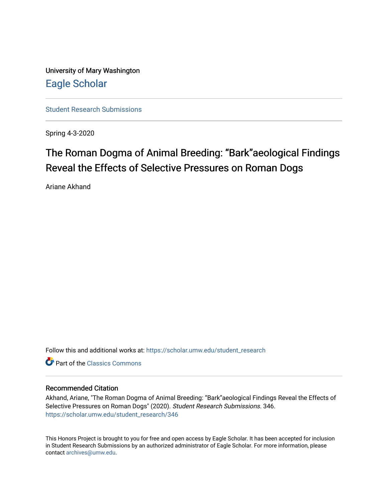University of Mary Washington [Eagle Scholar](https://scholar.umw.edu/) 

[Student Research Submissions](https://scholar.umw.edu/student_research) 

Spring 4-3-2020

# The Roman Dogma of Animal Breeding: "Bark"aeological Findings Reveal the Effects of Selective Pressures on Roman Dogs

Ariane Akhand

Follow this and additional works at: [https://scholar.umw.edu/student\\_research](https://scholar.umw.edu/student_research?utm_source=scholar.umw.edu%2Fstudent_research%2F346&utm_medium=PDF&utm_campaign=PDFCoverPages)

**C** Part of the [Classics Commons](http://network.bepress.com/hgg/discipline/446?utm_source=scholar.umw.edu%2Fstudent_research%2F346&utm_medium=PDF&utm_campaign=PDFCoverPages)

#### Recommended Citation

Akhand, Ariane, "The Roman Dogma of Animal Breeding: "Bark"aeological Findings Reveal the Effects of Selective Pressures on Roman Dogs" (2020). Student Research Submissions. 346. [https://scholar.umw.edu/student\\_research/346](https://scholar.umw.edu/student_research/346?utm_source=scholar.umw.edu%2Fstudent_research%2F346&utm_medium=PDF&utm_campaign=PDFCoverPages)

This Honors Project is brought to you for free and open access by Eagle Scholar. It has been accepted for inclusion in Student Research Submissions by an authorized administrator of Eagle Scholar. For more information, please contact [archives@umw.edu](mailto:archives@umw.edu).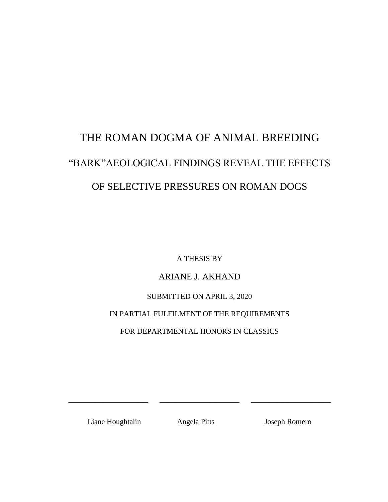# THE ROMAN DOGMA OF ANIMAL BREEDING "BARK"AEOLOGICAL FINDINGS REVEAL THE EFFECTS OF SELECTIVE PRESSURES ON ROMAN DOGS

A THESIS BY

### ARIANE J. AKHAND

### SUBMITTED ON APRIL 3, 2020

### IN PARTIAL FULFILMENT OF THE REQUIREMENTS

FOR DEPARTMENTAL HONORS IN CLASSICS

Liane Houghtalin Angela Pitts Joseph Romero

\_\_\_\_\_\_\_\_\_\_\_\_\_\_\_\_\_\_\_\_\_ \_\_\_\_\_\_\_\_\_\_\_\_\_\_\_\_\_\_\_\_\_ \_\_\_\_\_\_\_\_\_\_\_\_\_\_\_\_\_\_\_\_\_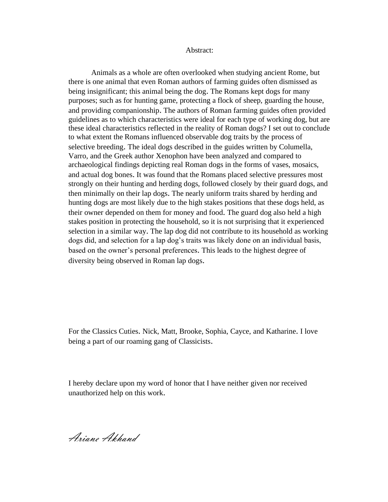#### Abstract:

Animals as a whole are often overlooked when studying ancient Rome, but there is one animal that even Roman authors of farming guides often dismissed as being insignificant; this animal being the dog. The Romans kept dogs for many purposes; such as for hunting game, protecting a flock of sheep, guarding the house, and providing companionship. The authors of Roman farming guides often provided guidelines as to which characteristics were ideal for each type of working dog, but are these ideal characteristics reflected in the reality of Roman dogs? I set out to conclude to what extent the Romans influenced observable dog traits by the process of selective breeding. The ideal dogs described in the guides written by Columella, Varro, and the Greek author Xenophon have been analyzed and compared to archaeological findings depicting real Roman dogs in the forms of vases, mosaics, and actual dog bones. It was found that the Romans placed selective pressures most strongly on their hunting and herding dogs, followed closely by their guard dogs, and then minimally on their lap dogs. The nearly uniform traits shared by herding and hunting dogs are most likely due to the high stakes positions that these dogs held, as their owner depended on them for money and food. The guard dog also held a high stakes position in protecting the household, so it is not surprising that it experienced selection in a similar way. The lap dog did not contribute to its household as working dogs did, and selection for a lap dog's traits was likely done on an individual basis, based on the owner's personal preferences. This leads to the highest degree of diversity being observed in Roman lap dogs.

For the Classics Cuties. Nick, Matt, Brooke, Sophia, Cayce, and Katharine. I love being a part of our roaming gang of Classicists.

I hereby declare upon my word of honor that I have neither given nor received unauthorized help on this work.

Ariane Akhand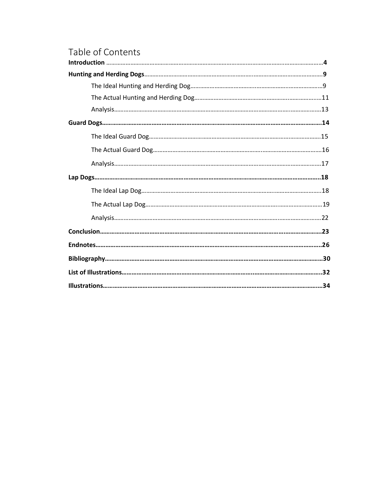# Table of Contents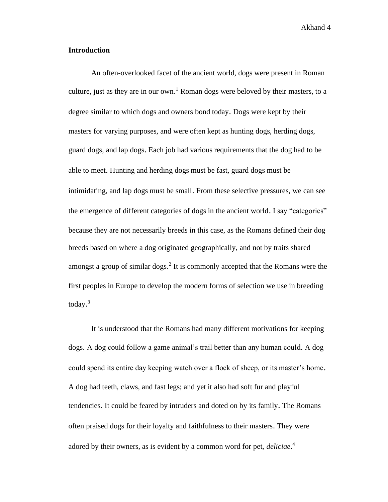#### **Introduction**

An often-overlooked facet of the ancient world, dogs were present in Roman culture, just as they are in our own. <sup>1</sup> Roman dogs were beloved by their masters, to a degree similar to which dogs and owners bond today. Dogs were kept by their masters for varying purposes, and were often kept as hunting dogs, herding dogs, guard dogs, and lap dogs. Each job had various requirements that the dog had to be able to meet. Hunting and herding dogs must be fast, guard dogs must be intimidating, and lap dogs must be small. From these selective pressures, we can see the emergence of different categories of dogs in the ancient world. I say "categories" because they are not necessarily breeds in this case, as the Romans defined their dog breeds based on where a dog originated geographically, and not by traits shared amongst a group of similar dogs. 2 It is commonly accepted that the Romans were the first peoples in Europe to develop the modern forms of selection we use in breeding today. 3

It is understood that the Romans had many different motivations for keeping dogs. A dog could follow a game animal's trail better than any human could. A dog could spend its entire day keeping watch over a flock of sheep, or its master's home. A dog had teeth, claws, and fast legs; and yet it also had soft fur and playful tendencies. It could be feared by intruders and doted on by its family. The Romans often praised dogs for their loyalty and faithfulness to their masters. They were adored by their owners, as is evident by a common word for pet, *deliciae*. 4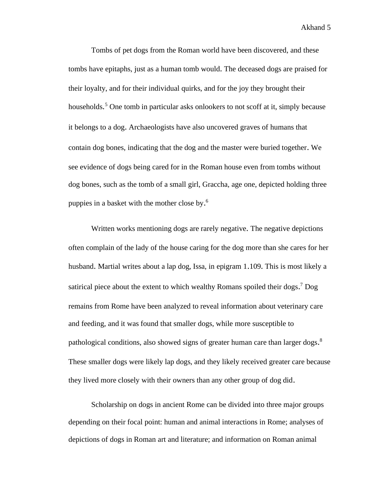Tombs of pet dogs from the Roman world have been discovered, and these tombs have epitaphs, just as a human tomb would. The deceased dogs are praised for their loyalty, and for their individual quirks, and for the joy they brought their households.<sup>5</sup> One tomb in particular asks onlookers to not scoff at it, simply because it belongs to a dog. Archaeologists have also uncovered graves of humans that contain dog bones, indicating that the dog and the master were buried together. We see evidence of dogs being cared for in the Roman house even from tombs without dog bones, such as the tomb of a small girl, Graccha, age one, depicted holding three puppies in a basket with the mother close by. 6

Written works mentioning dogs are rarely negative. The negative depictions often complain of the lady of the house caring for the dog more than she cares for her husband. Martial writes about a lap dog, Issa, in epigram 1.109. This is most likely a satirical piece about the extent to which wealthy Romans spoiled their dogs.<sup>7</sup> Dog remains from Rome have been analyzed to reveal information about veterinary care and feeding, and it was found that smaller dogs, while more susceptible to pathological conditions, also showed signs of greater human care than larger dogs.<sup>8</sup> These smaller dogs were likely lap dogs, and they likely received greater care because they lived more closely with their owners than any other group of dog did.

Scholarship on dogs in ancient Rome can be divided into three major groups depending on their focal point: human and animal interactions in Rome; analyses of depictions of dogs in Roman art and literature; and information on Roman animal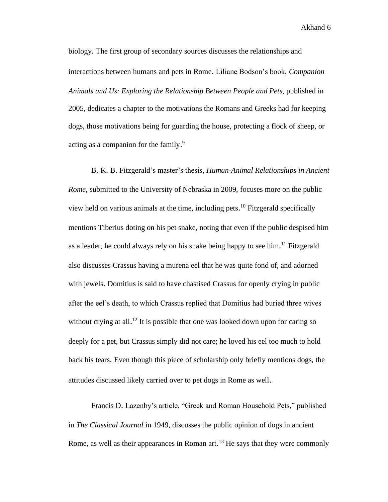biology. The first group of secondary sources discusses the relationships and interactions between humans and pets in Rome. Liliane Bodson's book, *Companion Animals and Us: Exploring the Relationship Between People and Pets*, published in 2005, dedicates a chapter to the motivations the Romans and Greeks had for keeping dogs, those motivations being for guarding the house, protecting a flock of sheep, or acting as a companion for the family.<sup>9</sup>

B. K. B. Fitzgerald's master's thesis, *Human-Animal Relationships in Ancient Rome*, submitted to the University of Nebraska in 2009, focuses more on the public view held on various animals at the time, including pets. <sup>10</sup> Fitzgerald specifically mentions Tiberius doting on his pet snake, noting that even if the public despised him as a leader, he could always rely on his snake being happy to see him.<sup>11</sup> Fitzgerald also discusses Crassus having a murena eel that he was quite fond of, and adorned with jewels. Domitius is said to have chastised Crassus for openly crying in public after the eel's death, to which Crassus replied that Domitius had buried three wives without crying at all.<sup>12</sup> It is possible that one was looked down upon for caring so deeply for a pet, but Crassus simply did not care; he loved his eel too much to hold back his tears. Even though this piece of scholarship only briefly mentions dogs, the attitudes discussed likely carried over to pet dogs in Rome as well.

Francis D. Lazenby's article, "Greek and Roman Household Pets," published in *The Classical Journal* in 1949, discusses the public opinion of dogs in ancient Rome, as well as their appearances in Roman art.<sup>13</sup> He says that they were commonly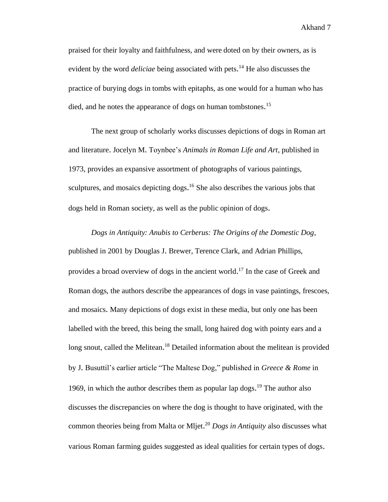praised for their loyalty and faithfulness, and were doted on by their owners, as is evident by the word *deliciae* being associated with pets. <sup>14</sup> He also discusses the practice of burying dogs in tombs with epitaphs, as one would for a human who has died, and he notes the appearance of dogs on human tombstones.<sup>15</sup>

The next group of scholarly works discusses depictions of dogs in Roman art and literature. Jocelyn M. Toynbee's *Animals in Roman Life and Art*, published in 1973, provides an expansive assortment of photographs of various paintings, sculptures, and mosaics depicting dogs.<sup>16</sup> She also describes the various jobs that dogs held in Roman society, as well as the public opinion of dogs.

*Dogs in Antiquity: Anubis to Cerberus: The Origins of the Domestic Dog*, published in 2001 by Douglas J. Brewer, Terence Clark, and Adrian Phillips, provides a broad overview of dogs in the ancient world.<sup>17</sup> In the case of Greek and Roman dogs, the authors describe the appearances of dogs in vase paintings, frescoes, and mosaics. Many depictions of dogs exist in these media, but only one has been labelled with the breed, this being the small, long haired dog with pointy ears and a long snout, called the Melitean.<sup>18</sup> Detailed information about the melitean is provided by J. Busuttil's earlier article "The Maltese Dog," published in *Greece & Rome* in 1969, in which the author describes them as popular lap dogs. <sup>19</sup> The author also discusses the discrepancies on where the dog is thought to have originated, with the common theories being from Malta or Mljet. <sup>20</sup> *Dogs in Antiquity* also discusses what various Roman farming guides suggested as ideal qualities for certain types of dogs.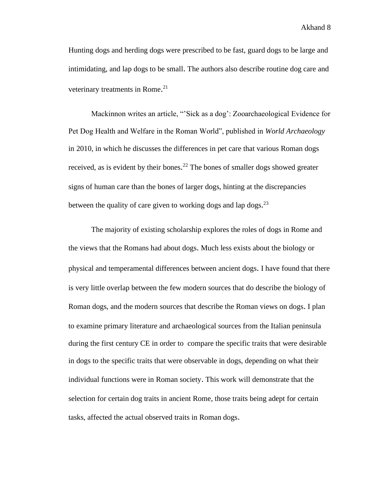Hunting dogs and herding dogs were prescribed to be fast, guard dogs to be large and intimidating, and lap dogs to be small. The authors also describe routine dog care and veterinary treatments in Rome.<sup>21</sup>

Mackinnon writes an article, "'Sick as a dog': Zooarchaeological Evidence for Pet Dog Health and Welfare in the Roman World", published in *World Archaeology*  in 2010, in which he discusses the differences in pet care that various Roman dogs received, as is evident by their bones.<sup>22</sup> The bones of smaller dogs showed greater signs of human care than the bones of larger dogs, hinting at the discrepancies between the quality of care given to working dogs and lap dogs.<sup>23</sup>

The majority of existing scholarship explores the roles of dogs in Rome and the views that the Romans had about dogs. Much less exists about the biology or physical and temperamental differences between ancient dogs. I have found that there is very little overlap between the few modern sources that do describe the biology of Roman dogs, and the modern sources that describe the Roman views on dogs. I plan to examine primary literature and archaeological sources from the Italian peninsula during the first century CE in order to compare the specific traits that were desirable in dogs to the specific traits that were observable in dogs, depending on what their individual functions were in Roman society. This work will demonstrate that the selection for certain dog traits in ancient Rome, those traits being adept for certain tasks, affected the actual observed traits in Roman dogs.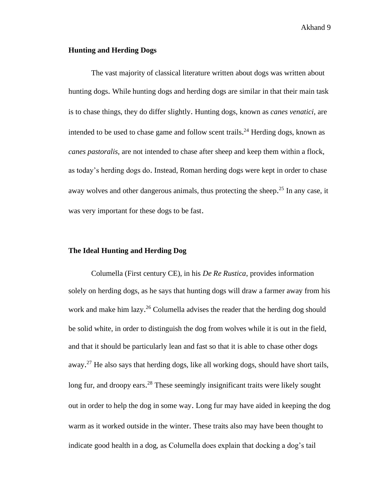#### **Hunting and Herding Dogs**

The vast majority of classical literature written about dogs was written about hunting dogs. While hunting dogs and herding dogs are similar in that their main task is to chase things, they do differ slightly. Hunting dogs, known as *canes venatici*, are intended to be used to chase game and follow scent trails.<sup>24</sup> Herding dogs, known as *canes pastoralis*, are not intended to chase after sheep and keep them within a flock, as today's herding dogs do. Instead, Roman herding dogs were kept in order to chase away wolves and other dangerous animals, thus protecting the sheep.<sup>25</sup> In any case, it was very important for these dogs to be fast.

#### **The Ideal Hunting and Herding Dog**

Columella (First century CE), in his *De Re Rustica*, provides information solely on herding dogs, as he says that hunting dogs will draw a farmer away from his work and make him lazy.<sup>26</sup> Columella advises the reader that the herding dog should be solid white, in order to distinguish the dog from wolves while it is out in the field, and that it should be particularly lean and fast so that it is able to chase other dogs away.<sup>27</sup> He also says that herding dogs, like all working dogs, should have short tails, long fur, and droopy ears.<sup>28</sup> These seemingly insignificant traits were likely sought out in order to help the dog in some way. Long fur may have aided in keeping the dog warm as it worked outside in the winter. These traits also may have been thought to indicate good health in a dog, as Columella does explain that docking a dog's tail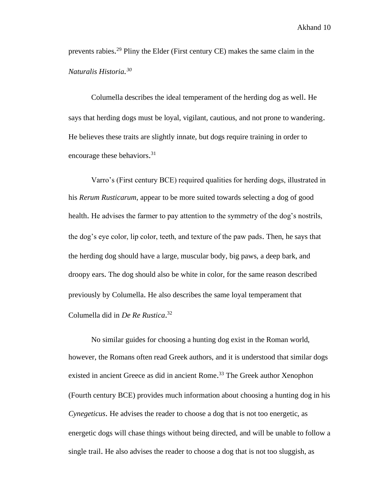prevents rabies.<sup>29</sup> Pliny the Elder (First century CE) makes the same claim in the *Naturalis Historia. 30*

Columella describes the ideal temperament of the herding dog as well. He says that herding dogs must be loyal, vigilant, cautious, and not prone to wandering. He believes these traits are slightly innate, but dogs require training in order to encourage these behaviors.<sup>31</sup>

Varro's (First century BCE) required qualities for herding dogs, illustrated in his *Rerum Rusticarum*, appear to be more suited towards selecting a dog of good health. He advises the farmer to pay attention to the symmetry of the dog's nostrils, the dog's eye color, lip color, teeth, and texture of the paw pads. Then, he says that the herding dog should have a large, muscular body, big paws, a deep bark, and droopy ears. The dog should also be white in color, for the same reason described previously by Columella. He also describes the same loyal temperament that Columella did in *De Re Rustica*. 32

No similar guides for choosing a hunting dog exist in the Roman world, however, the Romans often read Greek authors, and it is understood that similar dogs existed in ancient Greece as did in ancient Rome.<sup>33</sup> The Greek author Xenophon (Fourth century BCE) provides much information about choosing a hunting dog in his *Cynegeticus*. He advises the reader to choose a dog that is not too energetic, as energetic dogs will chase things without being directed, and will be unable to follow a single trail. He also advises the reader to choose a dog that is not too sluggish, as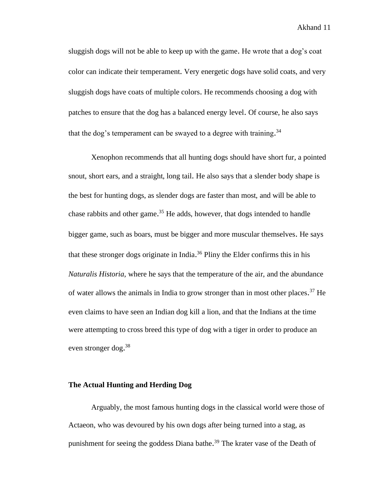sluggish dogs will not be able to keep up with the game. He wrote that a dog's coat color can indicate their temperament. Very energetic dogs have solid coats, and very sluggish dogs have coats of multiple colors. He recommends choosing a dog with patches to ensure that the dog has a balanced energy level. Of course, he also says that the dog's temperament can be swayed to a degree with training.<sup>34</sup>

Xenophon recommends that all hunting dogs should have short fur, a pointed snout, short ears, and a straight, long tail. He also says that a slender body shape is the best for hunting dogs, as slender dogs are faster than most, and will be able to chase rabbits and other game. <sup>35</sup> He adds, however, that dogs intended to handle bigger game, such as boars, must be bigger and more muscular themselves. He says that these stronger dogs originate in India.<sup>36</sup> Pliny the Elder confirms this in his *Naturalis Historia*, where he says that the temperature of the air, and the abundance of water allows the animals in India to grow stronger than in most other places.<sup>37</sup> He even claims to have seen an Indian dog kill a lion, and that the Indians at the time were attempting to cross breed this type of dog with a tiger in order to produce an even stronger dog.<sup>38</sup>

#### **The Actual Hunting and Herding Dog**

Arguably, the most famous hunting dogs in the classical world were those of Actaeon, who was devoured by his own dogs after being turned into a stag, as punishment for seeing the goddess Diana bathe.<sup>39</sup> The krater vase of the Death of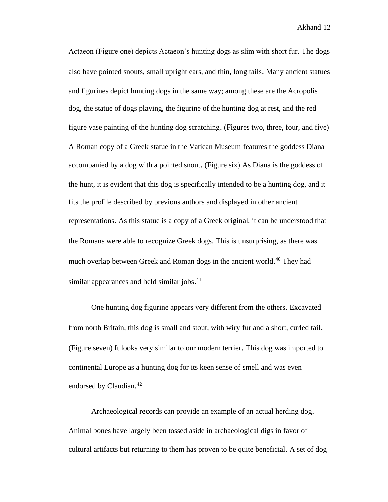Actaeon (Figure one) depicts Actaeon's hunting dogs as slim with short fur. The dogs also have pointed snouts, small upright ears, and thin, long tails. Many ancient statues and figurines depict hunting dogs in the same way; among these are the Acropolis dog, the statue of dogs playing, the figurine of the hunting dog at rest, and the red figure vase painting of the hunting dog scratching. (Figures two, three, four, and five) A Roman copy of a Greek statue in the Vatican Museum features the goddess Diana accompanied by a dog with a pointed snout. (Figure six) As Diana is the goddess of the hunt, it is evident that this dog is specifically intended to be a hunting dog, and it fits the profile described by previous authors and displayed in other ancient representations. As this statue is a copy of a Greek original, it can be understood that the Romans were able to recognize Greek dogs. This is unsurprising, as there was much overlap between Greek and Roman dogs in the ancient world.<sup>40</sup> They had similar appearances and held similar jobs.<sup>41</sup>

One hunting dog figurine appears very different from the others. Excavated from north Britain, this dog is small and stout, with wiry fur and a short, curled tail. (Figure seven) It looks very similar to our modern terrier. This dog was imported to continental Europe as a hunting dog for its keen sense of smell and was even endorsed by Claudian.<sup>42</sup>

Archaeological records can provide an example of an actual herding dog. Animal bones have largely been tossed aside in archaeological digs in favor of cultural artifacts but returning to them has proven to be quite beneficial. A set of dog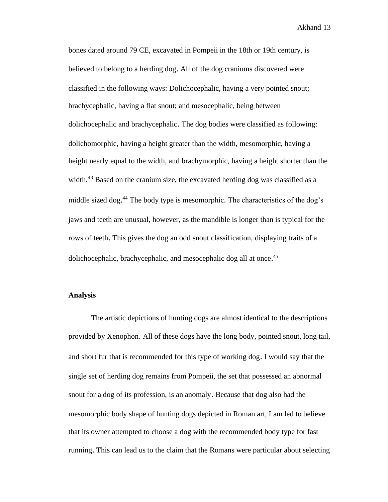bones dated around 79 CE, excavated in Pompeii in the 18th or 19th century, is believed to belong to a herding dog. All of the dog craniums discovered were classified in the following ways: Dolichocephalic, having a very pointed snout; brachycephalic, having a flat snout; and mesocephalic, being between dolichocephalic and brachycephalic. The dog bodies were classified as following: dolichomorphic, having a height greater than the width, mesomorphic, having a height nearly equal to the width, and brachymorphic, having a height shorter than the width.<sup>43</sup> Based on the cranium size, the excavated herding dog was classified as a middle sized dog.<sup>44</sup> The body type is mesomorphic. The characteristics of the dog's jaws and teeth are unusual, however, as the mandible is longer than is typical for the rows of teeth. This gives the dog an odd snout classification, displaying traits of a dolichocephalic, brachycephalic, and mesocephalic dog all at once.<sup>45</sup>

#### **Analysis**

The artistic depictions of hunting dogs are almost identical to the descriptions provided by Xenophon. All of these dogs have the long body, pointed snout, long tail, and short fur that is recommended for this type of working dog. I would say that the single set of herding dog remains from Pompeii, the set that possessed an abnormal snout for a dog of its profession, is an anomaly. Because that dog also had the mesomorphic body shape of hunting dogs depicted in Roman art, I am led to believe that its owner attempted to choose a dog with the recommended body type for fast running. This can lead us to the claim that the Romans were particular about selecting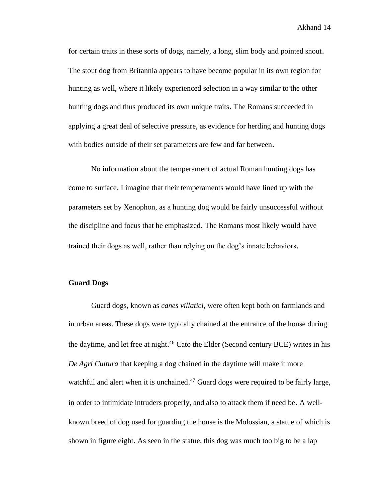for certain traits in these sorts of dogs, namely, a long, slim body and pointed snout. The stout dog from Britannia appears to have become popular in its own region for hunting as well, where it likely experienced selection in a way similar to the other hunting dogs and thus produced its own unique traits. The Romans succeeded in applying a great deal of selective pressure, as evidence for herding and hunting dogs with bodies outside of their set parameters are few and far between.

No information about the temperament of actual Roman hunting dogs has come to surface. I imagine that their temperaments would have lined up with the parameters set by Xenophon, as a hunting dog would be fairly unsuccessful without the discipline and focus that he emphasized. The Romans most likely would have trained their dogs as well, rather than relying on the dog's innate behaviors.

#### **Guard Dogs**

Guard dogs, known as *canes villatici,* were often kept both on farmlands and in urban areas. These dogs were typically chained at the entrance of the house during the daytime, and let free at night.<sup>46</sup> Cato the Elder (Second century BCE) writes in his *De Agri Cultura* that keeping a dog chained in the daytime will make it more watchful and alert when it is unchained.<sup>47</sup> Guard dogs were required to be fairly large, in order to intimidate intruders properly, and also to attack them if need be. A wellknown breed of dog used for guarding the house is the Molossian, a statue of which is shown in figure eight. As seen in the statue, this dog was much too big to be a lap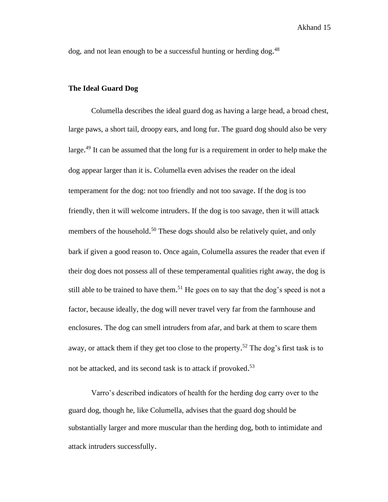dog, and not lean enough to be a successful hunting or herding dog.<sup>48</sup>

#### **The Ideal Guard Dog**

Columella describes the ideal guard dog as having a large head, a broad chest, large paws, a short tail, droopy ears, and long fur. The guard dog should also be very large.<sup>49</sup> It can be assumed that the long fur is a requirement in order to help make the dog appear larger than it is. Columella even advises the reader on the ideal temperament for the dog: not too friendly and not too savage. If the dog is too friendly, then it will welcome intruders. If the dog is too savage, then it will attack members of the household.<sup>50</sup> These dogs should also be relatively quiet, and only bark if given a good reason to. Once again, Columella assures the reader that even if their dog does not possess all of these temperamental qualities right away, the dog is still able to be trained to have them.<sup>51</sup> He goes on to say that the dog's speed is not a factor, because ideally, the dog will never travel very far from the farmhouse and enclosures. The dog can smell intruders from afar, and bark at them to scare them away, or attack them if they get too close to the property.<sup>52</sup> The dog's first task is to not be attacked, and its second task is to attack if provoked.<sup>53</sup>

Varro's described indicators of health for the herding dog carry over to the guard dog, though he, like Columella, advises that the guard dog should be substantially larger and more muscular than the herding dog, both to intimidate and attack intruders successfully.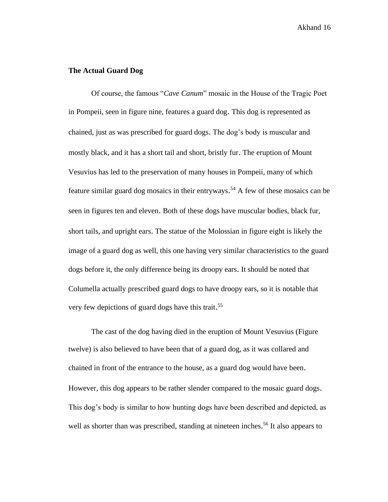#### **The Actual Guard Dog**

Of course, the famous "*Cave Canum*" mosaic in the House of the Tragic Poet in Pompeii, seen in figure nine, features a guard dog. This dog is represented as chained, just as was prescribed for guard dogs. The dog's body is muscular and mostly black, and it has a short tail and short, bristly fur. The eruption of Mount Vesuvius has led to the preservation of many houses in Pompeii, many of which feature similar guard dog mosaics in their entryways. <sup>54</sup> A few of these mosaics can be seen in figures ten and eleven. Both of these dogs have muscular bodies, black fur, short tails, and upright ears. The statue of the Molossian in figure eight is likely the image of a guard dog as well, this one having very similar characteristics to the guard dogs before it, the only difference being its droopy ears. It should be noted that Columella actually prescribed guard dogs to have droopy ears, so it is notable that very few depictions of guard dogs have this trait.<sup>55</sup>

The cast of the dog having died in the eruption of Mount Vesuvius (Figure twelve) is also believed to have been that of a guard dog, as it was collared and chained in front of the entrance to the house, as a guard dog would have been. However, this dog appears to be rather slender compared to the mosaic guard dogs. This dog's body is similar to how hunting dogs have been described and depicted, as well as shorter than was prescribed, standing at nineteen inches.<sup>56</sup> It also appears to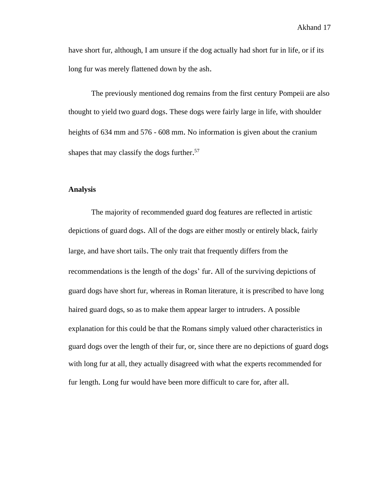have short fur, although, I am unsure if the dog actually had short fur in life, or if its long fur was merely flattened down by the ash.

The previously mentioned dog remains from the first century Pompeii are also thought to yield two guard dogs. These dogs were fairly large in life, with shoulder heights of 634 mm and 576 - 608 mm. No information is given about the cranium shapes that may classify the dogs further.<sup>57</sup>

#### **Analysis**

The majority of recommended guard dog features are reflected in artistic depictions of guard dogs. All of the dogs are either mostly or entirely black, fairly large, and have short tails. The only trait that frequently differs from the recommendations is the length of the dogs' fur. All of the surviving depictions of guard dogs have short fur, whereas in Roman literature, it is prescribed to have long haired guard dogs, so as to make them appear larger to intruders. A possible explanation for this could be that the Romans simply valued other characteristics in guard dogs over the length of their fur, or, since there are no depictions of guard dogs with long fur at all, they actually disagreed with what the experts recommended for fur length. Long fur would have been more difficult to care for, after all.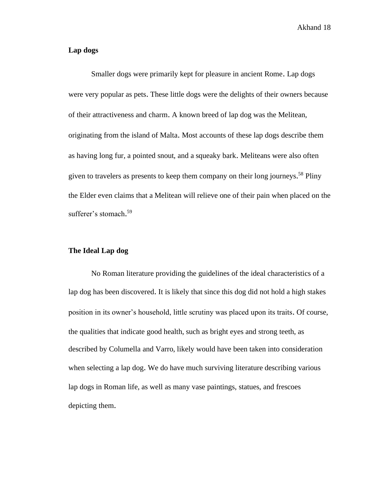#### **Lap dogs**

Smaller dogs were primarily kept for pleasure in ancient Rome. Lap dogs were very popular as pets. These little dogs were the delights of their owners because of their attractiveness and charm. A known breed of lap dog was the Melitean, originating from the island of Malta. Most accounts of these lap dogs describe them as having long fur, a pointed snout, and a squeaky bark. Meliteans were also often given to travelers as presents to keep them company on their long journeys. <sup>58</sup> Pliny the Elder even claims that a Melitean will relieve one of their pain when placed on the sufferer's stomach. 59

#### **The Ideal Lap dog**

No Roman literature providing the guidelines of the ideal characteristics of a lap dog has been discovered. It is likely that since this dog did not hold a high stakes position in its owner's household, little scrutiny was placed upon its traits. Of course, the qualities that indicate good health, such as bright eyes and strong teeth, as described by Columella and Varro, likely would have been taken into consideration when selecting a lap dog. We do have much surviving literature describing various lap dogs in Roman life, as well as many vase paintings, statues, and frescoes depicting them.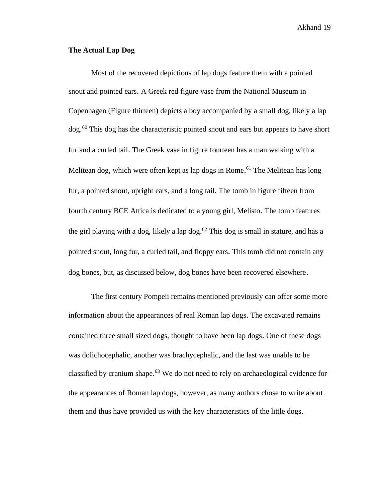#### **The Actual Lap Dog**

Most of the recovered depictions of lap dogs feature them with a pointed snout and pointed ears. A Greek red figure vase from the National Museum in Copenhagen (Figure thirteen) depicts a boy accompanied by a small dog, likely a lap dog.<sup>60</sup> This dog has the characteristic pointed snout and ears but appears to have short fur and a curled tail. The Greek vase in figure fourteen has a man walking with a Melitean dog, which were often kept as lap dogs in Rome.<sup>61</sup> The Melitean has long fur, a pointed snout, upright ears, and a long tail. The tomb in figure fifteen from fourth century BCE Attica is dedicated to a young girl, Melisto. The tomb features the girl playing with a dog, likely a lap dog. <sup>62</sup> This dog is small in stature, and has a pointed snout, long fur, a curled tail, and floppy ears. This tomb did not contain any dog bones, but, as discussed below, dog bones have been recovered elsewhere.

The first century Pompeii remains mentioned previously can offer some more information about the appearances of real Roman lap dogs. The excavated remains contained three small sized dogs, thought to have been lap dogs. One of these dogs was dolichocephalic, another was brachycephalic, and the last was unable to be classified by cranium shape. <sup>63</sup> We do not need to rely on archaeological evidence for the appearances of Roman lap dogs, however, as many authors chose to write about them and thus have provided us with the key characteristics of the little dogs.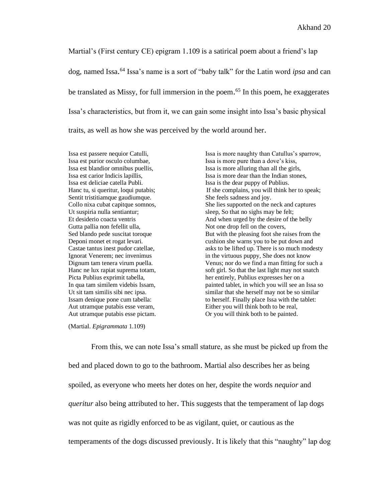Martial's (First century CE) epigram 1.109 is a satirical poem about a friend's lap dog, named Issa. <sup>64</sup> Issa's name is a sort of "baby talk" for the Latin word *ipsa* and can be translated as Missy, for full immersion in the poem. <sup>65</sup> In this poem, he exaggerates Issa's characteristics, but from it, we can gain some insight into Issa's basic physical traits, as well as how she was perceived by the world around her.

Issa est deliciae catella Publi. Issa is the dear puppy of Publius. Sentit tristitiamque gaudiumque. She feels sadness and joy. Ut suspiria nulla sentiantur; sleep, So that no sighs may be felt; Gutta pallia non fefellit ulla, Not one drop fell on the covers,

Issa est passere nequior Catulli, Issa is more naughty than Catullus's sparrow, Issa est purior osculo columbae, Issa is more pure than a dove's kiss, Issa est blandior omnibus puellis, Issa is more alluring than all the girls, Issa est carior Indicis lapillis, Issa is more dear than the Indian stones, Hanc tu, si queritur, loqui putabis; If she complains, you will think her to speak; Collo nixa cubat capitque somnos, She lies supported on the neck and captures Et desiderio coacta ventris And when urged by the desire of the belly Sed blando pede suscitat toroque But with the pleasing foot she raises from the Deponi monet et rogat levari. cushion she warns you to be put down and Castae tantus inest pudor catellae, asks to be lifted up. There is so much modesty Ignorat Venerem; nec invenimus in the virtuous puppy, She does not know Dignum tam tenera virum puella. Venus; nor do we find a man fitting for such a Hanc ne lux rapiat suprema totam, soft girl. So that the last light may not snatch Picta Publius exprimit tabella, her entirely, Publius expresses her on a In qua tam similem videbis Issam, painted tablet, in which you will see an Issa so Ut sit tam similis sibi nec ipsa. similar that she herself may not be so similar Issam denique pone cum tabella: to herself. Finally place Issa with the tablet: Aut utramque putabis esse veram, Either you will think both to be real, Aut utramque putabis esse pictam. Or you will think both to be painted.

(Martial. *Epigrammata* 1.109)

From this, we can note Issa's small stature, as she must be picked up from the bed and placed down to go to the bathroom. Martial also describes her as being spoiled, as everyone who meets her dotes on her, despite the words *nequior* and *queritur* also being attributed to her. This suggests that the temperament of lap dogs was not quite as rigidly enforced to be as vigilant, quiet, or cautious as the temperaments of the dogs discussed previously. It is likely that this "naughty" lap dog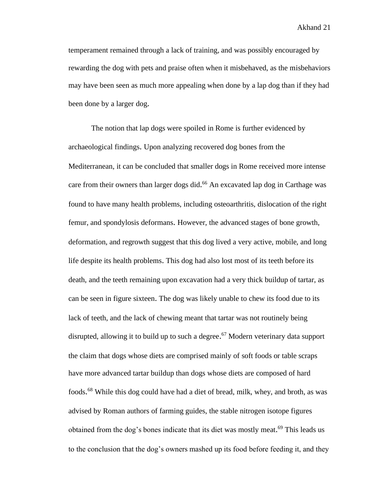temperament remained through a lack of training, and was possibly encouraged by rewarding the dog with pets and praise often when it misbehaved, as the misbehaviors may have been seen as much more appealing when done by a lap dog than if they had been done by a larger dog.

The notion that lap dogs were spoiled in Rome is further evidenced by archaeological findings. Upon analyzing recovered dog bones from the Mediterranean, it can be concluded that smaller dogs in Rome received more intense care from their owners than larger dogs did. <sup>66</sup> An excavated lap dog in Carthage was found to have many health problems, including osteoarthritis, dislocation of the right femur, and spondylosis deformans. However, the advanced stages of bone growth, deformation, and regrowth suggest that this dog lived a very active, mobile, and long life despite its health problems. This dog had also lost most of its teeth before its death, and the teeth remaining upon excavation had a very thick buildup of tartar, as can be seen in figure sixteen. The dog was likely unable to chew its food due to its lack of teeth, and the lack of chewing meant that tartar was not routinely being disrupted, allowing it to build up to such a degree.<sup>67</sup> Modern veterinary data support the claim that dogs whose diets are comprised mainly of soft foods or table scraps have more advanced tartar buildup than dogs whose diets are composed of hard foods. <sup>68</sup> While this dog could have had a diet of bread, milk, whey, and broth, as was advised by Roman authors of farming guides, the stable nitrogen isotope figures obtained from the dog's bones indicate that its diet was mostly meat.<sup>69</sup> This leads us to the conclusion that the dog's owners mashed up its food before feeding it, and they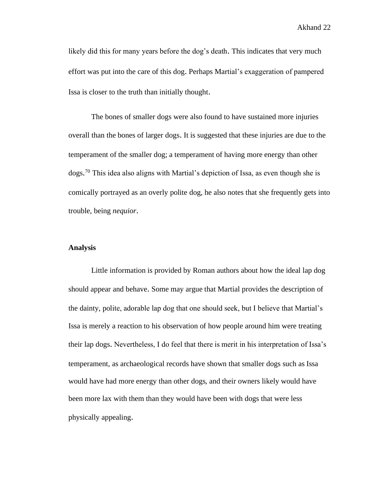likely did this for many years before the dog's death. This indicates that very much effort was put into the care of this dog. Perhaps Martial's exaggeration of pampered Issa is closer to the truth than initially thought.

The bones of smaller dogs were also found to have sustained more injuries overall than the bones of larger dogs. It is suggested that these injuries are due to the temperament of the smaller dog; a temperament of having more energy than other dogs.<sup>70</sup> This idea also aligns with Martial's depiction of Issa, as even though she is comically portrayed as an overly polite dog, he also notes that she frequently gets into trouble, being *nequior*.

#### **Analysis**

Little information is provided by Roman authors about how the ideal lap dog should appear and behave. Some may argue that Martial provides the description of the dainty, polite, adorable lap dog that one should seek, but I believe that Martial's Issa is merely a reaction to his observation of how people around him were treating their lap dogs. Nevertheless, I do feel that there is merit in his interpretation of Issa's temperament, as archaeological records have shown that smaller dogs such as Issa would have had more energy than other dogs, and their owners likely would have been more lax with them than they would have been with dogs that were less physically appealing.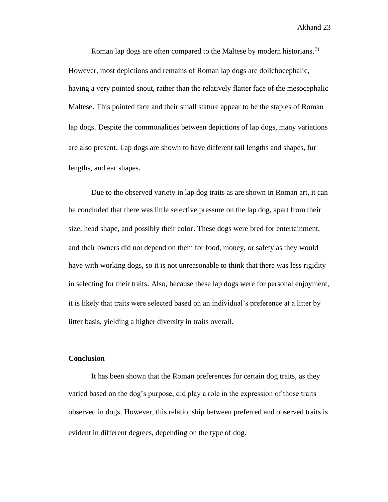Roman lap dogs are often compared to the Maltese by modern historians.<sup>71</sup> However, most depictions and remains of Roman lap dogs are dolichocephalic, having a very pointed snout, rather than the relatively flatter face of the mesocephalic Maltese. This pointed face and their small stature appear to be the staples of Roman lap dogs. Despite the commonalities between depictions of lap dogs, many variations are also present. Lap dogs are shown to have different tail lengths and shapes, fur lengths, and ear shapes.

Due to the observed variety in lap dog traits as are shown in Roman art, it can be concluded that there was little selective pressure on the lap dog, apart from their size, head shape, and possibly their color. These dogs were bred for entertainment, and their owners did not depend on them for food, money, or safety as they would have with working dogs, so it is not unreasonable to think that there was less rigidity in selecting for their traits. Also, because these lap dogs were for personal enjoyment, it is likely that traits were selected based on an individual's preference at a litter by litter basis, yielding a higher diversity in traits overall.

#### **Conclusion**

It has been shown that the Roman preferences for certain dog traits, as they varied based on the dog's purpose, did play a role in the expression of those traits observed in dogs. However, this relationship between preferred and observed traits is evident in different degrees, depending on the type of dog.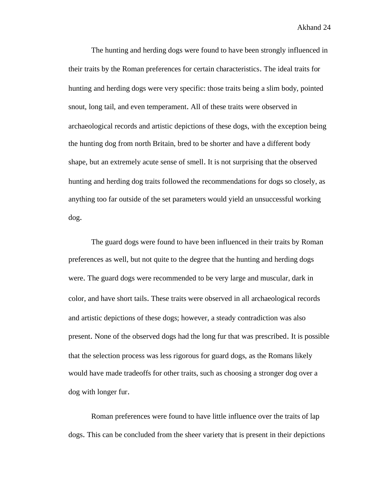The hunting and herding dogs were found to have been strongly influenced in their traits by the Roman preferences for certain characteristics. The ideal traits for hunting and herding dogs were very specific: those traits being a slim body, pointed snout, long tail, and even temperament. All of these traits were observed in archaeological records and artistic depictions of these dogs, with the exception being the hunting dog from north Britain, bred to be shorter and have a different body shape, but an extremely acute sense of smell. It is not surprising that the observed hunting and herding dog traits followed the recommendations for dogs so closely, as anything too far outside of the set parameters would yield an unsuccessful working dog.

The guard dogs were found to have been influenced in their traits by Roman preferences as well, but not quite to the degree that the hunting and herding dogs were. The guard dogs were recommended to be very large and muscular, dark in color, and have short tails. These traits were observed in all archaeological records and artistic depictions of these dogs; however, a steady contradiction was also present. None of the observed dogs had the long fur that was prescribed. It is possible that the selection process was less rigorous for guard dogs, as the Romans likely would have made tradeoffs for other traits, such as choosing a stronger dog over a dog with longer fur.

Roman preferences were found to have little influence over the traits of lap dogs. This can be concluded from the sheer variety that is present in their depictions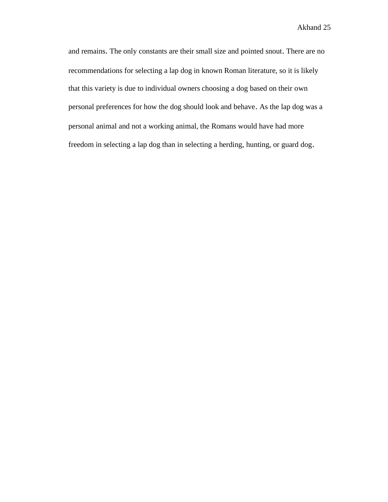and remains. The only constants are their small size and pointed snout. There are no recommendations for selecting a lap dog in known Roman literature, so it is likely that this variety is due to individual owners choosing a dog based on their own personal preferences for how the dog should look and behave. As the lap dog was a personal animal and not a working animal, the Romans would have had more freedom in selecting a lap dog than in selecting a herding, hunting, or guard dog.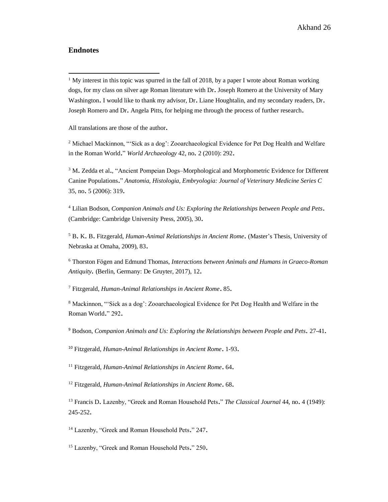#### **Endnotes**

<sup>1</sup> My interest in this topic was spurred in the fall of 2018, by a paper I wrote about Roman working dogs, for my class on silver age Roman literature with Dr. Joseph Romero at the University of Mary Washington. I would like to thank my advisor, Dr. Liane Houghtalin, and my secondary readers, Dr. Joseph Romero and Dr. Angela Pitts, for helping me through the process of further research.

All translations are those of the author.

<sup>2</sup> Michael Mackinnon, "'Sick as a dog': Zooarchaeological Evidence for Pet Dog Health and Welfare in the Roman World." *World Archaeology* 42, no. 2 (2010): 292.

<sup>3</sup> M. Zedda et al., "Ancient Pompeian Dogs–Morphological and Morphometric Evidence for Different Canine Populations." *Anatomia, Histologia, Embryologia: Journal of Veterinary Medicine Series C*  35, no. 5 (2006): 319.

<sup>4</sup> Lilian Bodson, *Companion Animals and Us: Exploring the Relationships between People and Pets*. (Cambridge: Cambridge University Press, 2005), 30.

<sup>5</sup> B. K. B. Fitzgerald, *Human-Animal Relationships in Ancient Rome*. (Master's Thesis, University of Nebraska at Omaha, 2009), 83.

<sup>6</sup> Thorston Fögen and Edmund Thomas, *Interactions between Animals and Humans in Graeco-Roman Antiquity.* (Berlin, Germany: De Gruyter, 2017), 12.

<sup>7</sup> Fitzgerald, *Human-Animal Relationships in Ancient Rome*. 85.

<sup>8</sup> Mackinnon, "'Sick as a dog': Zooarchaeological Evidence for Pet Dog Health and Welfare in the Roman World." 292.

<sup>9</sup> Bodson, *Companion Animals and Us: Exploring the Relationships between People and Pets.* 27-41.

<sup>10</sup> Fitzgerald, *Human-Animal Relationships in Ancient Rome*. 1-93.

<sup>11</sup> Fitzgerald, *Human-Animal Relationships in Ancient Rome*. 64.

<sup>12</sup> Fitzgerald, *Human-Animal Relationships in Ancient Rome*. 68.

<sup>13</sup> Francis D. Lazenby, "Greek and Roman Household Pets." *The Classical Journal* 44, no. 4 (1949): 245-252.

<sup>14</sup> Lazenby, "Greek and Roman Household Pets," 247.

<sup>15</sup> Lazenby, "Greek and Roman Household Pets." 250.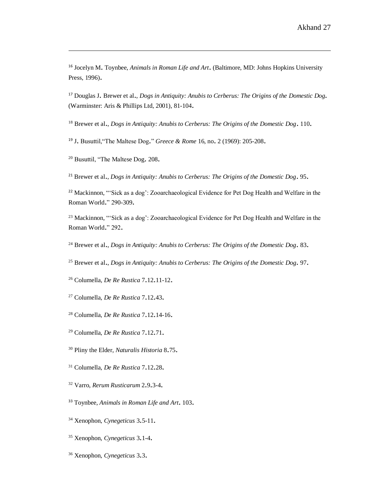Jocelyn M. Toynbee, *Animals in Roman Life and Art*. (Baltimore, MD: Johns Hopkins University Press, 1996).

 Douglas J. Brewer et al., *Dogs in Antiquity: Anubis to Cerberus: The Origins of the Domestic Dog.* (Warminster: Aris & Phillips Ltd, 2001), 81-104.

Brewer et al., *Dogs in Antiquity: Anubis to Cerberus: The Origins of the Domestic Dog*. 110.

J. Busuttil,"The Maltese Dog." *Greece & Rome* 16, no. 2 (1969): 205-208.

Busuttil, "The Maltese Dog. 208.

Brewer et al., *Dogs in Antiquity: Anubis to Cerberus: The Origins of the Domestic Dog*. 95.

<sup>22</sup> Mackinnon, "'Sick as a dog': Zooarchaeological Evidence for Pet Dog Health and Welfare in the Roman World." 290-309.

<sup>23</sup> Mackinnon, "'Sick as a dog': Zooarchaeological Evidence for Pet Dog Health and Welfare in the Roman World." 292.

Brewer et al., *Dogs in Antiquity: Anubis to Cerberus: The Origins of the Domestic Dog.* 83.

Brewer et al., *Dogs in Antiquity: Anubis to Cerberus: The Origins of the Domestic Dog.* 97.

Columella, *De Re Rustica* 7.12.11-12.

Columella, *De Re Rustica* 7.12.43.

- Columella, *De Re Rustica* 7.12.14-16.
- Columella, *De Re Rustica* 7.12.71.
- Pliny the Elder, *Naturalis Historia* 8.75.
- Columella, *De Re Rustica* 7.12.28.
- Varro, *Rerum Rusticarum* 2.9.3-4.
- Toynbee, *Animals in Roman Life and Art*. 103.
- Xenophon, *Cynegeticus* 3.5-11.
- Xenophon, *Cynegeticus* 3.1-4.
- Xenophon, *Cynegeticus* 3.3.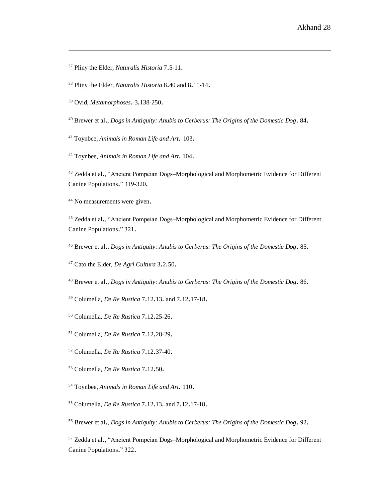- Pliny the Elder, *Naturalis Historia* 7.5-11.
- Pliny the Elder, *Naturalis Historia* 8.40 and 8.11-14.
- Ovid, *Metamorphoses*. 3.138-250.
- Brewer et al., *Dogs in Antiquity: Anubis to Cerberus: The Origins of the Domestic Dog.* 84.
- Toynbee, *Animals in Roman Life and Art*. 103.
- Toynbee, *Animals in Roman Life and Art*. 104.

<sup>43</sup> Zedda et al., "Ancient Pompeian Dogs–Morphological and Morphometric Evidence for Different Canine Populations." 319-320.

No measurements were given.

 Zedda et al., "Ancient Pompeian Dogs–Morphological and Morphometric Evidence for Different Canine Populations." 321.

Brewer et al., *Dogs in Antiquity: Anubis to Cerberus: The Origins of the Domestic Dog.* 85.

Cato the Elder, *De Agri Cultura* 3.2.50.

Brewer et al., *Dogs in Antiquity: Anubis to Cerberus: The Origins of the Domestic Dog.* 86.

Columella, *De Re Rustica* 7.12.13. and 7.12.17-18.

- Columella, *De Re Rustica* 7.12.25-26.
- Columella, *De Re Rustica* 7.12.28-29.
- Columella, *De Re Rustica* 7.12.37-40.
- Columella, *De Re Rustica* 7.12.50.
- Toynbee, *Animals in Roman Life and Art*. 110.
- Columella, *De Re Rustica* 7.12.13. and 7.12.17-18.

Brewer et al., *Dogs in Antiquity: Anubis to Cerberus: The Origins of the Domestic Dog.* 92.

 Zedda et al., "Ancient Pompeian Dogs–Morphological and Morphometric Evidence for Different Canine Populations." 322.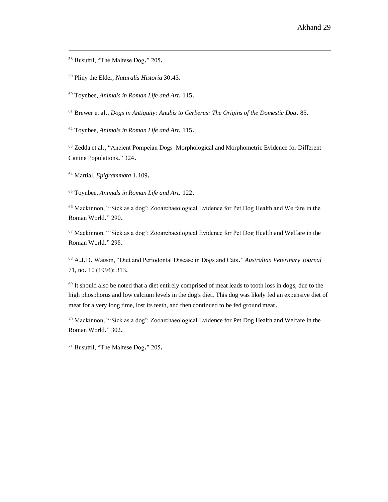<sup>58</sup> Busuttil, "The Maltese Dog." 205.

<sup>59</sup> Pliny the Elder, *Naturalis Historia* 30.43.

<sup>60</sup> Toynbee, *Animals in Roman Life and Art*. 115.

<sup>61</sup> Brewer et al., *Dogs in Antiquity: Anubis to Cerberus: The Origins of the Domestic Dog.* 85.

<sup>62</sup> Toynbee, *Animals in Roman Life and Art*. 115.

<sup>63</sup> Zedda et al., "Ancient Pompeian Dogs–Morphological and Morphometric Evidence for Different Canine Populations." 324.

<sup>64</sup> Martial, *Epigrammata* 1.109.

<sup>65</sup> Toynbee, *Animals in Roman Life and Art*. 122.

<sup>66</sup> Mackinnon, "'Sick as a dog': Zooarchaeological Evidence for Pet Dog Health and Welfare in the Roman World." 290.

<sup>67</sup> Mackinnon, "'Sick as a dog': Zooarchaeological Evidence for Pet Dog Health and Welfare in the Roman World." 298.

<sup>68</sup> A.J.D. Watson, "Diet and Periodontal Disease in Dogs and Cats." *Australian Veterinary Journal* 71, no. 10 (1994): 313.

<sup>69</sup> It should also be noted that a diet entirely comprised of meat leads to tooth loss in dogs, due to the high phosphorus and low calcium levels in the dog's diet. This dog was likely fed an expensive diet of meat for a very long time, lost its teeth, and then continued to be fed ground meat.

<sup>70</sup> Mackinnon, "'Sick as a dog': Zooarchaeological Evidence for Pet Dog Health and Welfare in the Roman World." 302.

<sup>71</sup> Busuttil, "The Maltese Dog." 205.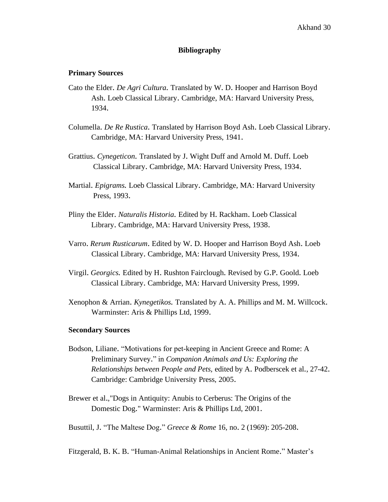#### **Bibliography**

#### **Primary Sources**

- Cato the Elder. *De Agri Cultura.* Translated by W. D. Hooper and Harrison Boyd Ash. Loeb Classical Library. Cambridge, MA: Harvard University Press, 1934.
- Columella. *De Re Rustica.* Translated by Harrison Boyd Ash. Loeb Classical Library. Cambridge, MA: Harvard University Press, 1941.
- Grattius. *Cynegeticon.* Translated by J. Wight Duff and Arnold M. Duff. Loeb Classical Library. Cambridge, MA: Harvard University Press, 1934.
- Martial. *Epigrams.* Loeb Classical Library. Cambridge, MA: Harvard University Press, 1993.
- Pliny the Elder. *Naturalis Historia.* Edited by H. Rackham. Loeb Classical Library. Cambridge, MA: Harvard University Press, 1938.
- Varro. *Rerum Rusticarum*. Edited by W. D. Hooper and Harrison Boyd Ash. Loeb Classical Library. Cambridge, MA: Harvard University Press, 1934.
- Virgil. *Georgics.* Edited by H. Rushton Fairclough. Revised by G.P. Goold. Loeb Classical Library. Cambridge, MA: Harvard University Press, 1999.
- Xenophon & Arrian. *Kynegetikos.* Translated by A. A. Phillips and M. M. Willcock. Warminster: Aris & Phillips Ltd, 1999.

#### **Secondary Sources**

- Bodson, Liliane. "Motivations for pet-keeping in Ancient Greece and Rome: A Preliminary Survey." in *Companion Animals and Us: Exploring the Relationships between People and Pets,* edited by A. Podberscek et al., 27-42. Cambridge: Cambridge University Press, 2005.
- Brewer et al.,"Dogs in Antiquity: Anubis to Cerberus: The Origins of the Domestic Dog." Warminster: Aris & Phillips Ltd, 2001.

Busuttil, J. "The Maltese Dog." *Greece & Rome* 16, no. 2 (1969): 205-208.

Fitzgerald, B. K. B. "Human-Animal Relationships in Ancient Rome." Master's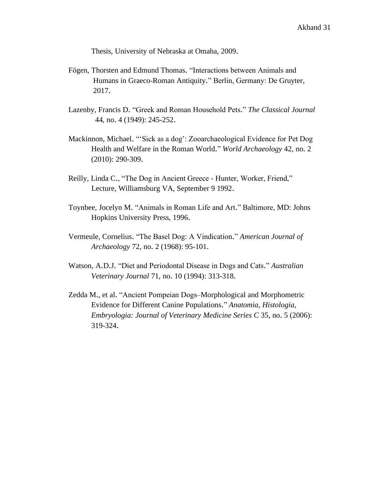Thesis, University of Nebraska at Omaha, 2009.

- Fögen, Thorsten and Edmund Thomas. "Interactions between Animals and Humans in Graeco-Roman Antiquity*.*" Berlin, Germany: De Gruyter, 2017.
- Lazenby, Francis D. "Greek and Roman Household Pets." *The Classical Journal* 44, no. 4 (1949): 245-252.
- Mackinnon, Michael. "'Sick as a dog': Zooarchaeological Evidence for Pet Dog Health and Welfare in the Roman World." *World Archaeology* 42, no. 2 (2010): 290-309.
- Reilly, Linda C., "The Dog in Ancient Greece Hunter, Worker, Friend," Lecture, Williamsburg VA, September 9 1992.
- Toynbee, Jocelyn M. "Animals in Roman Life and Art." Baltimore, MD: Johns Hopkins University Press, 1996.
- Vermeule, Cornelius. "The Basel Dog: A Vindication." *American Journal of Archaeology* 72, no. 2 (1968): 95-101.
- Watson, A.D.J. "Diet and Periodontal Disease in Dogs and Cats." *Australian Veterinary Journal* 71, no. 10 (1994): 313-318.
- Zedda M., et al. "Ancient Pompeian Dogs–Morphological and Morphometric Evidence for Different Canine Populations." *Anatomia, Histologia, Embryologia: Journal of Veterinary Medicine Series C* 35, no. 5 (2006): 319-324.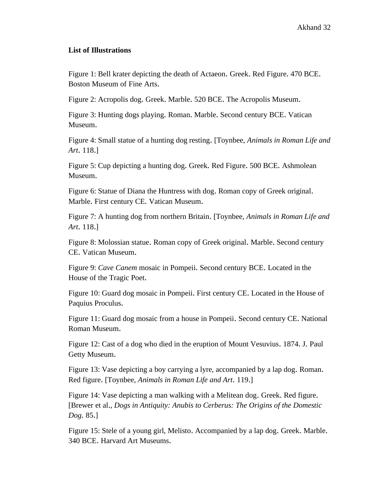#### **List of Illustrations**

Figure 1: Bell krater depicting the death of Actaeon. Greek. Red Figure. 470 BCE. Boston Museum of Fine Arts.

Figure 2: Acropolis dog. Greek. Marble. 520 BCE. The Acropolis Museum.

Figure 3: Hunting dogs playing. Roman. Marble. Second century BCE. Vatican Museum.

Figure 4: Small statue of a hunting dog resting. [Toynbee, *Animals in Roman Life and Art*. 118.]

Figure 5: Cup depicting a hunting dog. Greek. Red Figure. 500 BCE. Ashmolean Museum.

Figure 6: Statue of Diana the Huntress with dog. Roman copy of Greek original. Marble. First century CE. Vatican Museum.

Figure 7: A hunting dog from northern Britain. [Toynbee, *Animals in Roman Life and Art*. 118.]

Figure 8: Molossian statue. Roman copy of Greek original. Marble. Second century CE. Vatican Museum.

Figure 9: *Cave Canem* mosaic in Pompeii. Second century BCE. Located in the House of the Tragic Poet.

Figure 10: Guard dog mosaic in Pompeii. First century CE. Located in the House of Paquius Proculus.

Figure 11: Guard dog mosaic from a house in Pompeii. Second century CE. National Roman Museum.

Figure 12: Cast of a dog who died in the eruption of Mount Vesuvius. 1874. J. Paul Getty Museum.

Figure 13: Vase depicting a boy carrying a lyre, accompanied by a lap dog. Roman. Red figure. [Toynbee, *Animals in Roman Life and Art*. 119.]

Figure 14: Vase depicting a man walking with a Melitean dog. Greek. Red figure. [Brewer et al., *Dogs in Antiquity: Anubis to Cerberus: The Origins of the Domestic Dog.* 85.]

Figure 15: Stele of a young girl, Melisto. Accompanied by a lap dog. Greek. Marble. 340 BCE. Harvard Art Museums.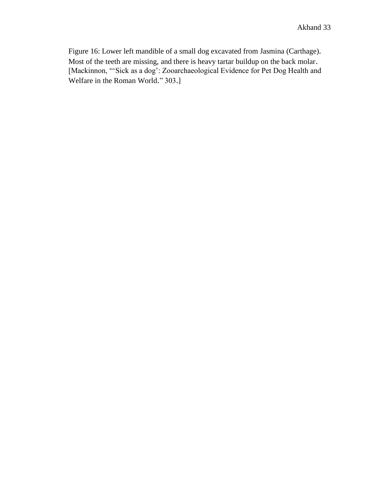Figure 16: Lower left mandible of a small dog excavated from Jasmina (Carthage). Most of the teeth are missing, and there is heavy tartar buildup on the back molar. [Mackinnon, "'Sick as a dog': Zooarchaeological Evidence for Pet Dog Health and Welfare in the Roman World." 303.]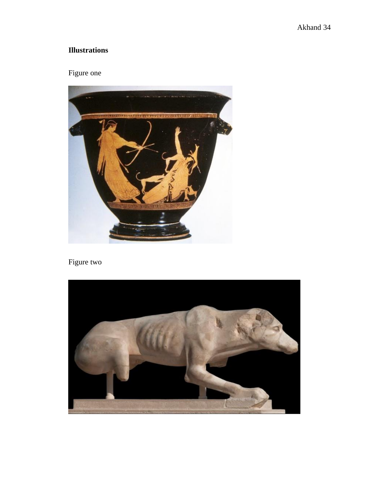### **Illustrations**

### Figure one



### Figure two

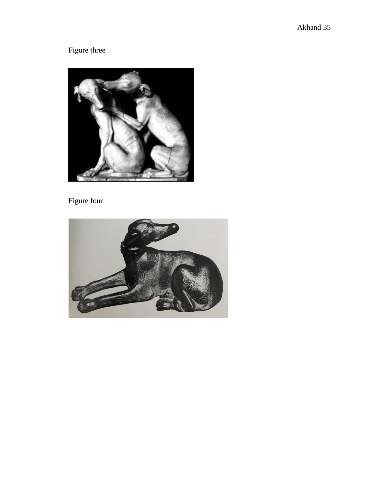# Figure three



### Figure four

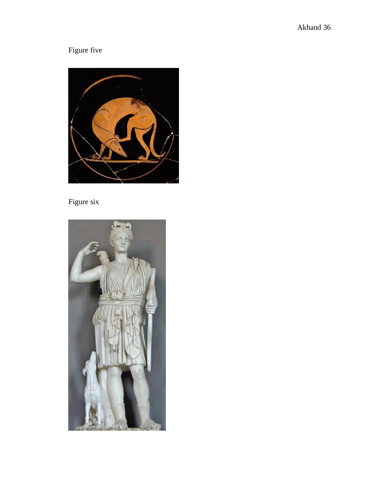# Figure five



### Figure six

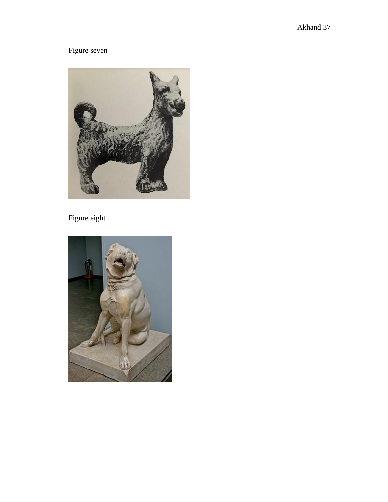### Figure seven



### Figure eight

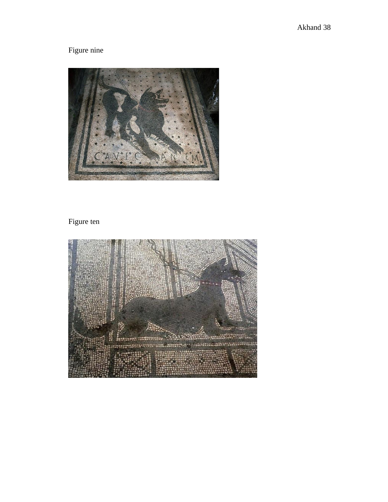# Figure nine



### Figure ten

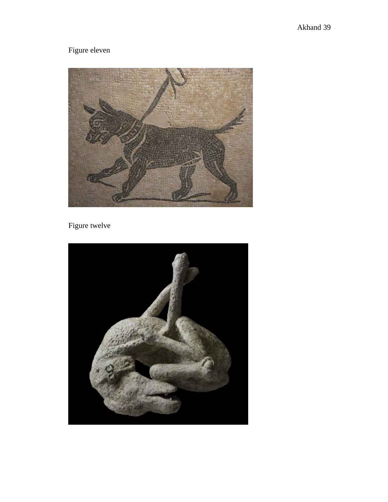# Figure eleven



### Figure twelve

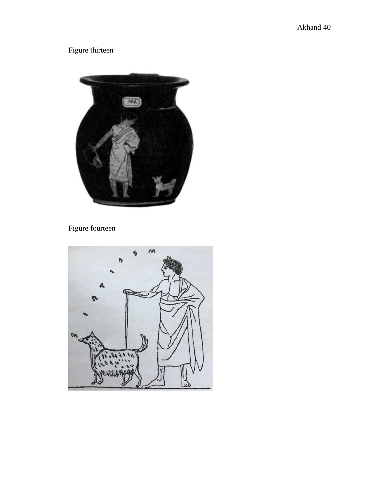Figure thirteen



### Figure fourteen

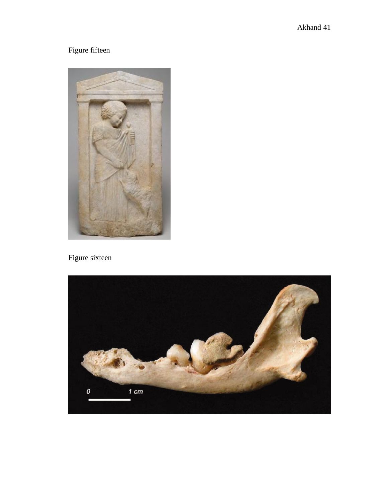# Figure fifteen



### Figure sixteen